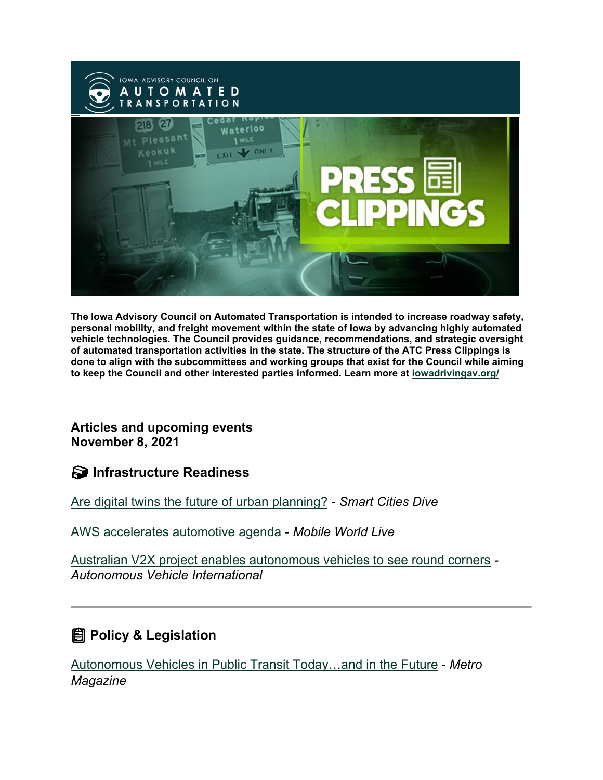

**The Iowa Advisory Council on Automated Transportation is intended to increase roadway safety, personal mobility, and freight movement within the state of Iowa by advancing highly automated vehicle technologies. The Council provides guidance, recommendations, and strategic oversight of automated transportation activities in the state. The structure of the ATC Press Clippings is done to align with the subcommittees and working groups that exist for the Council while aiming to keep the Council and other interested parties informed. Learn more at [iowadrivingav.org/](https://iowadrivingav.org/?utm_medium=email&utm_source=govdelivery)**

**Articles and upcoming events November 8, 2021**

**S** Infrastructure Readiness

[Are digital twins the future of urban planning?](https://www.smartcitiesdive.com/news/are-digital-twins-the-future-of-urban-planning/609232/?utm_medium=email&utm_source=govdelivery) - *Smart Cities Dive*

[AWS accelerates automotive agenda](https://www.mobileworldlive.com/featured-content/top-three/aws-accelerates-automotive-agenda?utm_medium=email&utm_source=govdelivery) - *Mobile World Live*

[Australian V2X project enables autonomous vehicles to see round corners](https://www.autonomousvehicleinternational.com/news/v2x-news/australian-v2x-project-enables-autonomous-vehicles-to-see-round-corners.html?utm_medium=email&utm_source=govdelivery) *- Autonomous Vehicle International*

## **Policy & Legislation**

[Autonomous Vehicles in Public Transit Today…and in the Future](https://www.metro-magazine.com/10154922/autonomous-vehicles-in-public-transit-today-and-in-the-future?utm_medium=email&utm_source=govdelivery) - *Metro Magazine*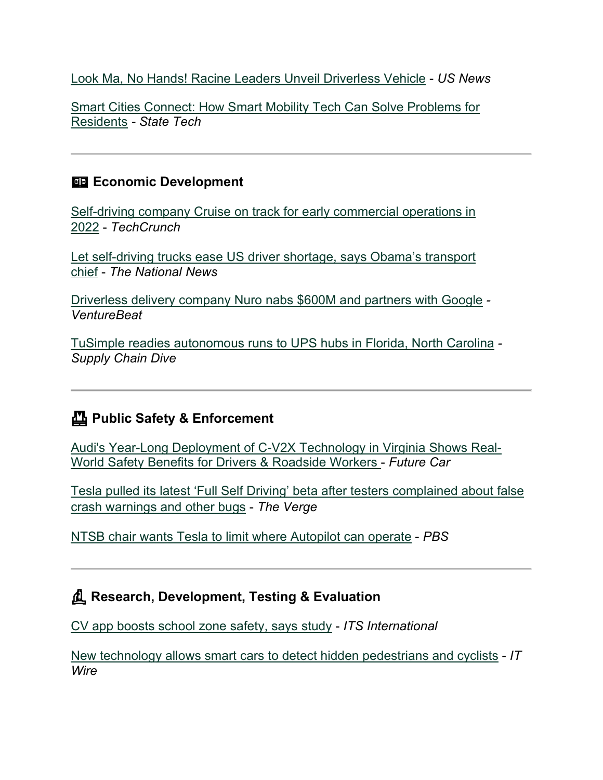[Look Ma, No Hands! Racine Leaders Unveil Driverless Vehicle](https://www.usnews.com/news/best-states/wisconsin/articles/2021-11-01/look-ma-no-hands-racine-leaders-unveil-driverless-vehicle?utm_medium=email&utm_source=govdelivery) - *US News*

[Smart Cities Connect: How Smart Mobility Tech Can Solve Problems for](https://statetechmagazine.com/article/2021/10/smart-cities-connect-how-smart-mobility-tech-can-solve-problems-residents?utm_medium=email&utm_source=govdelivery)  [Residents](https://statetechmagazine.com/article/2021/10/smart-cities-connect-how-smart-mobility-tech-can-solve-problems-residents?utm_medium=email&utm_source=govdelivery) *- State Tech*

#### **Example 2** Economic Development

[Self-driving company Cruise on track for early commercial operations in](https://techcrunch.com/2021/10/27/self-driving-company-cruise-on-track-for-early-commercial-operations-in-2022/?utm_medium=email&utm_source=govdelivery)  [2022](https://techcrunch.com/2021/10/27/self-driving-company-cruise-on-track-for-early-commercial-operations-in-2022/?utm_medium=email&utm_source=govdelivery) - *TechCrunch*

[Let self-driving trucks ease US driver shortage, says Obama's transport](https://www.thenationalnews.com/world/us-news/2021/11/01/let-self-driving-trucks-ease-us-driver-shortage-says-obamas-transport-chief/?utm_medium=email&utm_source=govdelivery)  [chief](https://www.thenationalnews.com/world/us-news/2021/11/01/let-self-driving-trucks-ease-us-driver-shortage-says-obamas-transport-chief/?utm_medium=email&utm_source=govdelivery) - *The National News*

[Driverless delivery company Nuro nabs \\$600M and partners with Google](https://venturebeat.com/2021/11/02/driverless-delivery-company-nuro-nabs-600m-and-partners-with-google/?utm_medium=email&utm_source=govdelivery) *- VentureBeat*

[TuSimple readies autonomous runs to UPS hubs in Florida, North Carolina](https://www.supplychaindive.com/news/TuSimple-UPS-autonomous-uptime/609445/?utm_medium=email&utm_source=govdelivery) *- Supply Chain Dive*

## **Public Safety & Enforcement**

[Audi's Year-Long Deployment of C-V2X Technology in Virginia Shows Real-](https://www.futurecar.com/4971/Audis-Year-Long-Deployment-of-C-V2X-Technology-in-Virginia-Shows-Real-World-Safety-Benefits-for-Drivers-&-Roadside-Workers?utm_medium=email&utm_source=govdelivery)[World Safety Benefits for Drivers & Roadside Workers](https://www.futurecar.com/4971/Audis-Year-Long-Deployment-of-C-V2X-Technology-in-Virginia-Shows-Real-World-Safety-Benefits-for-Drivers-&-Roadside-Workers?utm_medium=email&utm_source=govdelivery) - *Future Car*

[Tesla pulled its latest 'Full Self Driving' beta after testers complained about false](https://www.theverge.com/2021/10/24/22743628/elon-musk-tesla-fsd-beta-10-3-rollback-issues-phantom-fcw?utm_medium=email&utm_source=govdelivery)  [crash warnings and other bugs](https://www.theverge.com/2021/10/24/22743628/elon-musk-tesla-fsd-beta-10-3-rollback-issues-phantom-fcw?utm_medium=email&utm_source=govdelivery) - *The Verge*

[NTSB chair wants Tesla to limit where Autopilot can operate](https://www.pbs.org/newshour/economy/ntsb-chair-wants-tesla-to-limit-where-autopilot-can-operate?utm_medium=email&utm_source=govdelivery) - *PBS*

### **Research, Development, Testing & Evaluation**

[CV app boosts school zone safety, says study](https://www.itsinternational.com/its4/its5/its7/news/cv-app-boosts-school-zone-safety-says-study?utm_medium=email&utm_source=govdelivery) - *ITS International*

[New technology allows smart cars to detect hidden pedestrians and cyclists](https://itwire.com/automotive/new-technology-allows-smart-cars-to-detect-hidden-pedestrians-and-cyclists.html?utm_medium=email&utm_source=govdelivery) - *IT Wire*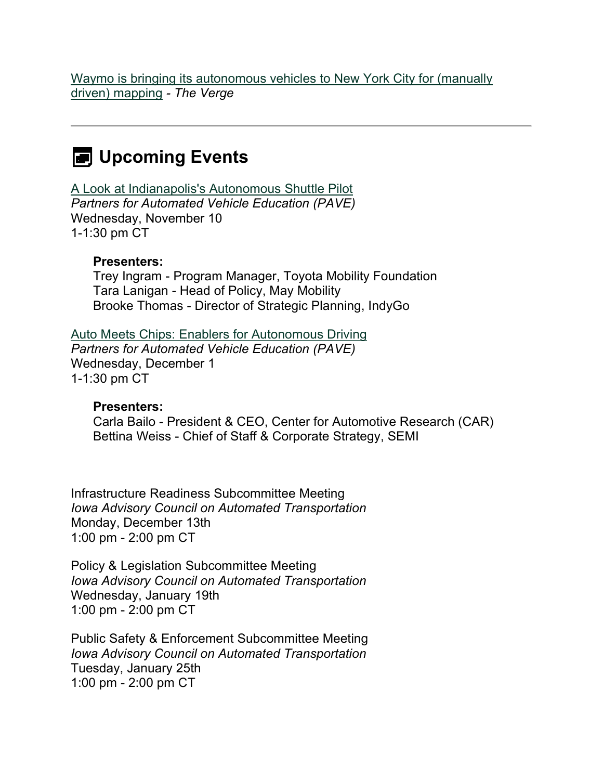[Waymo is bringing its autonomous vehicles to New York City for \(manually](https://www.theverge.com/2021/11/3/22761058/waymo-autonomous-vehicles-nyc-mapping-manual?utm_medium=email&utm_source=govdelivery)  [driven\) mapping](https://www.theverge.com/2021/11/3/22761058/waymo-autonomous-vehicles-nyc-mapping-manual?utm_medium=email&utm_source=govdelivery) *- The Verge*

# **EXED Upcoming Events**

[A Look at Indianapolis's Autonomous Shuttle Pilot](https://pavecampaign.org/event/pave-virtual-panel-a-look-at-indianapoliss-autonomous-shuttle-pilot/?utm_medium=email&utm_source=govdelivery) *Partners for Automated Vehicle Education (PAVE)* Wednesday, November 10 1-1:30 pm CT

#### **Presenters:**

Trey Ingram - Program Manager, Toyota Mobility Foundation Tara Lanigan - Head of Policy, May Mobility Brooke Thomas - Director of Strategic Planning, IndyGo

[Auto Meets Chips: Enablers for Autonomous Driving](https://pavecampaign.org/event/pave-virtual-panel-auto-meets-chips/?utm_medium=email&utm_source=govdelivery) *Partners for Automated Vehicle Education (PAVE)* Wednesday, December 1 1-1:30 pm CT

#### **Presenters:**

Carla Bailo - President & CEO, Center for Automotive Research (CAR) Bettina Weiss - Chief of Staff & Corporate Strategy, SEMI

Infrastructure Readiness Subcommittee Meeting *Iowa Advisory Council on Automated Transportation* Monday, December 13th 1:00 pm - 2:00 pm CT

Policy & Legislation Subcommittee Meeting *Iowa Advisory Council on Automated Transportation* Wednesday, January 19th 1:00 pm - 2:00 pm CT

Public Safety & Enforcement Subcommittee Meeting *Iowa Advisory Council on Automated Transportation* Tuesday, January 25th 1:00 pm - 2:00 pm CT